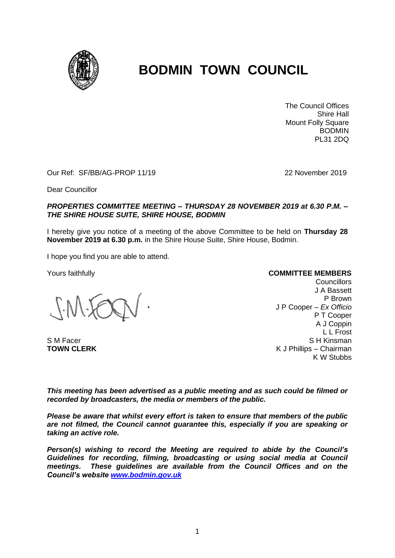

# **BODMIN TOWN COUNCIL**

The Council Offices Shire Hall Mount Folly Square BODMIN PL31 2DQ

Our Ref: SF/BB/AG-PROP 11/19 22 November 2019

Dear Councillor

### *PROPERTIES COMMITTEE MEETING – THURSDAY 28 NOVEMBER 2019 at 6.30 P.M. – THE SHIRE HOUSE SUITE, SHIRE HOUSE, BODMIN*

I hereby give you notice of a meeting of the above Committee to be held on **Thursday 28 November 2019 at 6.30 p.m.** in the Shire House Suite, Shire House, Bodmin.

I hope you find you are able to attend.

Yours faithfully

S M Facer **TOWN CLERK**

#### **COMMITTEE MEMBERS**

**Councillors** J A Bassett P Brown J P Cooper – *Ex Officio* P T Cooper A J Coppin L L Frost S H Kinsman K J Phillips – Chairman K W Stubbs

*This meeting has been advertised as a public meeting and as such could be filmed or recorded by broadcasters, the media or members of the public.*

*Please be aware that whilst every effort is taken to ensure that members of the public are not filmed, the Council cannot guarantee this, especially if you are speaking or taking an active role.*

*Person(s) wishing to record the Meeting are required to abide by the Council's Guidelines for recording, filming, broadcasting or using social media at Council meetings. These guidelines are available from the Council Offices and on the Council's website [www.bodmin.gov.uk](http://www.bodmin.gov.uk/)*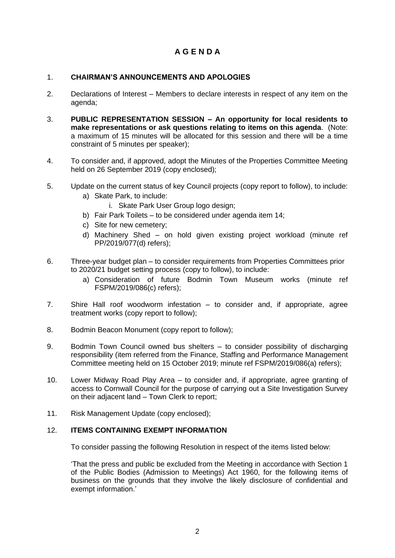# **A G E N D A**

# 1. **CHAIRMAN'S ANNOUNCEMENTS AND APOLOGIES**

- 2. Declarations of Interest Members to declare interests in respect of any item on the agenda;
- 3. **PUBLIC REPRESENTATION SESSION – An opportunity for local residents to make representations or ask questions relating to items on this agenda**. (Note: a maximum of 15 minutes will be allocated for this session and there will be a time constraint of 5 minutes per speaker);
- 4. To consider and, if approved, adopt the Minutes of the Properties Committee Meeting held on 26 September 2019 (copy enclosed);
- 5. Update on the current status of key Council projects (copy report to follow), to include:
	- a) Skate Park, to include:
		- i. Skate Park User Group logo design;
	- b) Fair Park Toilets to be considered under agenda item 14;
	- c) Site for new cemetery;
	- d) Machinery Shed on hold given existing project workload (minute ref PP/2019/077(d) refers);
- 6. Three-year budget plan to consider requirements from Properties Committees prior to 2020/21 budget setting process (copy to follow), to include:
	- a) Consideration of future Bodmin Town Museum works (minute ref FSPM/2019/086(c) refers);
- 7. Shire Hall roof woodworm infestation to consider and, if appropriate, agree treatment works (copy report to follow);
- 8. Bodmin Beacon Monument (copy report to follow);
- 9. Bodmin Town Council owned bus shelters to consider possibility of discharging responsibility (item referred from the Finance, Staffing and Performance Management Committee meeting held on 15 October 2019; minute ref FSPM/2019/086(a) refers);
- 10. Lower Midway Road Play Area to consider and, if appropriate, agree granting of access to Cornwall Council for the purpose of carrying out a Site Investigation Survey on their adjacent land – Town Clerk to report;
- 11. Risk Management Update (copy enclosed);

## 12. **ITEMS CONTAINING EXEMPT INFORMATION**

To consider passing the following Resolution in respect of the items listed below:

'That the press and public be excluded from the Meeting in accordance with Section 1 of the Public Bodies (Admission to Meetings) Act 1960, for the following items of business on the grounds that they involve the likely disclosure of confidential and exempt information.'